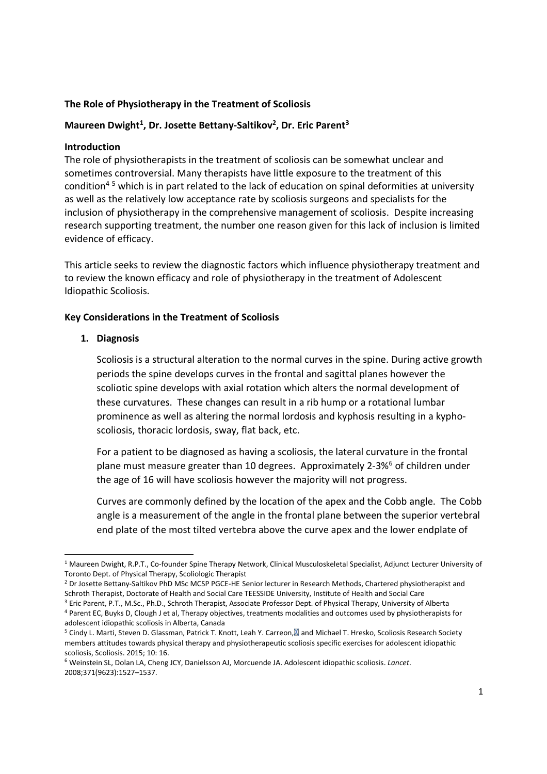# **The Role of Physiotherapy in the Treatment of Scoliosis**

# **Maureen Dwight<sup>1</sup> , Dr. Josette Bettany-Saltikov<sup>2</sup> , Dr. Eric Parent<sup>3</sup>**

### **Introduction**

The role of physiotherapists in the treatment of scoliosis can be somewhat unclear and sometimes controversial. Many therapists have little exposure to the treatment of this condition4 5 which is in part related to the lack of education on spinal deformities at university as well as the relatively low acceptance rate by scoliosis surgeons and specialists for the inclusion of physiotherapy in the comprehensive management of scoliosis. Despite increasing research supporting treatment, the number one reason given for this lack of inclusion is limited evidence of efficacy.

This article seeks to review the diagnostic factors which influence physiotherapy treatment and to review the known efficacy and role of physiotherapy in the treatment of Adolescent Idiopathic Scoliosis.

# **Key Considerations in the Treatment of Scoliosis**

#### **1. Diagnosis**

Scoliosis is a structural alteration to the normal curves in the spine. During active growth periods the spine develops curves in the frontal and sagittal planes however the scoliotic spine develops with axial rotation which alters the normal development of these curvatures. These changes can result in a rib hump or a rotational lumbar prominence as well as altering the normal lordosis and kyphosis resulting in a kyphoscoliosis, thoracic lordosis, sway, flat back, etc.

For a patient to be diagnosed as having a scoliosis, the lateral curvature in the frontal plane must measure greater than 10 degrees. Approximately 2-3%<sup>6</sup> of children under the age of 16 will have scoliosis however the majority will not progress.

Curves are commonly defined by the location of the apex and the Cobb angle. The Cobb angle is a measurement of the angle in the frontal plane between the superior vertebral end plate of the most tilted vertebra above the curve apex and the lower endplate of

<sup>&</sup>lt;sup>1</sup> Maureen Dwight, R.P.T., Co-founder Spine Therapy Network, Clinical Musculoskeletal Specialist, Adjunct Lecturer University of Toronto Dept. of Physical Therapy, Scoliologic Therapist

<sup>&</sup>lt;sup>2</sup> Dr Josette Bettany-Saltikov PhD MSc MCSP PGCE-HE Senior lecturer in Research Methods, Chartered physiotherapist and Schroth Therapist, Doctorate of Health and Social Care TEESSIDE University, Institute of Health and Social Care

<sup>3</sup> Eric Parent, P.T., M.Sc., Ph.D., Schroth Therapist, Associate Professor Dept. of Physical Therapy, University of Alberta <sup>4</sup> Parent EC, Buyks D, Clough J et al, Therapy objectives, treatments modalities and outcomes used by physiotherapists for adolescent idiopathic scoliosis in Alberta, Canada

<sup>&</sup>lt;sup>5</sup> Cindy L. Marti, Steven D. Glassman, Patrick T. Knott, Leah Y. Carreon, and Michael T. Hresko, Scoliosis Research Society members attitudes towards physical therapy and physiotherapeutic scoliosis specific exercises for adolescent idiopathic scoliosis, Scoliosis. 2015; 10: 16.

<sup>6</sup> Weinstein SL, Dolan LA, Cheng JCY, Danielsson AJ, Morcuende JA. Adolescent idiopathic scoliosis. *Lancet*. 2008;371(9623):1527–1537.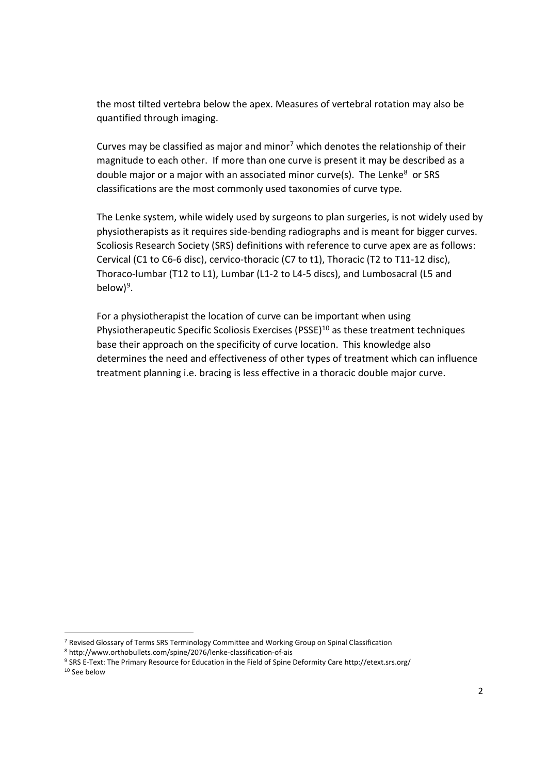the most tilted vertebra below the apex. Measures of vertebral rotation may also be quantified through imaging.

Curves may be classified as major and minor<sup>7</sup> which denotes the relationship of their magnitude to each other. If more than one curve is present it may be described as a double major or a major with an associated minor curve(s). The Lenke $8$  or SRS classifications are the most commonly used taxonomies of curve type.

The Lenke system, while widely used by surgeons to plan surgeries, is not widely used by physiotherapists as it requires side-bending radiographs and is meant for bigger curves. Scoliosis Research Society (SRS) definitions with reference to curve apex are as follows: Cervical (C1 to C6-6 disc), cervico-thoracic (C7 to t1), Thoracic (T2 to T11-12 disc), Thoraco-lumbar (T12 to L1), Lumbar (L1-2 to L4-5 discs), and Lumbosacral (L5 and below)<sup>9</sup>.

For a physiotherapist the location of curve can be important when using Physiotherapeutic Specific Scoliosis Exercises (PSSE) $^{10}$  as these treatment techniques base their approach on the specificity of curve location. This knowledge also determines the need and effectiveness of other types of treatment which can influence treatment planning i.e. bracing is less effective in a thoracic double major curve.

<sup>7</sup> Revised Glossary of Terms SRS Terminology Committee and Working Group on Spinal Classification

<sup>8</sup> http://www.orthobullets.com/spine/2076/lenke-classification-of-ais

<sup>9</sup> SRS E-Text: The Primary Resource for Education in the Field of Spine Deformity Care http://etext.srs.org/ <sup>10</sup> See below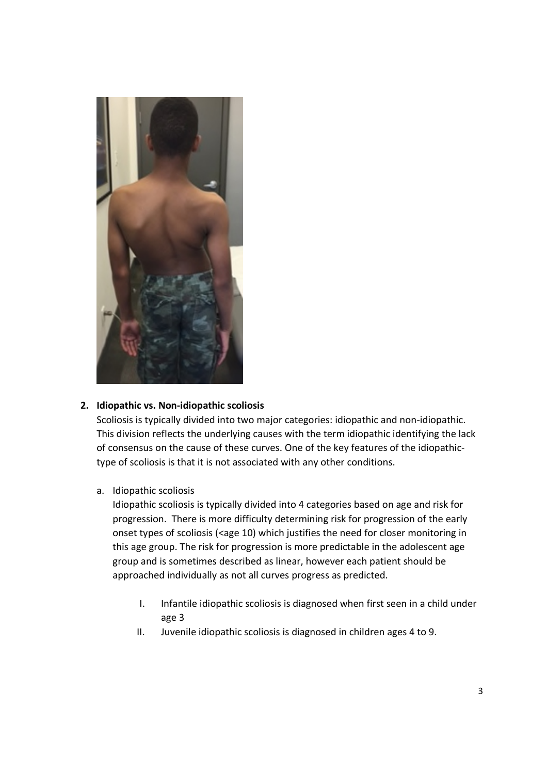

# **2. Idiopathic vs. Non-idiopathic scoliosis**

Scoliosis is typically divided into two major categories: idiopathic and non-idiopathic. This division reflects the underlying causes with the term idiopathic identifying the lack of consensus on the cause of these curves. One of the key features of the idiopathictype of scoliosis is that it is not associated with any other conditions.

#### a. Idiopathic scoliosis

Idiopathic scoliosis is typically divided into 4 categories based on age and risk for progression. There is more difficulty determining risk for progression of the early onset types of scoliosis (<age 10) which justifies the need for closer monitoring in this age group. The risk for progression is more predictable in the adolescent age group and is sometimes described as linear, however each patient should be approached individually as not all curves progress as predicted.

- I. Infantile idiopathic scoliosis is diagnosed when first seen in a child under age 3
- II. Juvenile idiopathic scoliosis is diagnosed in children ages 4 to 9.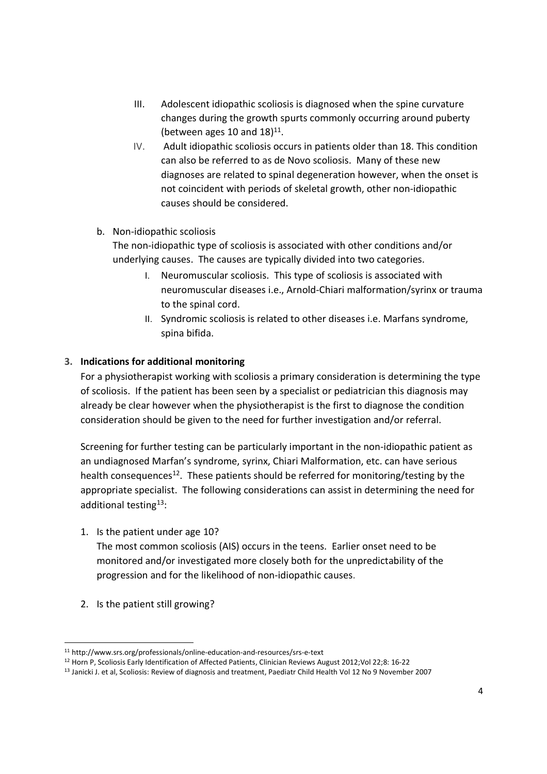- III. Adolescent idiopathic scoliosis is diagnosed when the spine curvature changes during the growth spurts commonly occurring around puberty (between ages 10 and  $18)^{11}$ .
- IV. Adult idiopathic scoliosis occurs in patients older than 18. This condition can also be referred to as de Novo scoliosis. Many of these new diagnoses are related to spinal degeneration however, when the onset is not coincident with periods of skeletal growth, other non-idiopathic causes should be considered.

# b. Non-idiopathic scoliosis

The non-idiopathic type of scoliosis is associated with other conditions and/or underlying causes. The causes are typically divided into two categories.

- I. Neuromuscular scoliosis. This type of scoliosis is associated with neuromuscular diseases i.e., Arnold-Chiari malformation/syrinx or trauma to the spinal cord.
- II. Syndromic scoliosis is related to other diseases i.e. Marfans syndrome, spina bifida.

# **3. Indications for additional monitoring**

For a physiotherapist working with scoliosis a primary consideration is determining the type of scoliosis. If the patient has been seen by a specialist or pediatrician this diagnosis may already be clear however when the physiotherapist is the first to diagnose the condition consideration should be given to the need for further investigation and/or referral.

Screening for further testing can be particularly important in the non-idiopathic patient as an undiagnosed Marfan's syndrome, syrinx, Chiari Malformation, etc. can have serious health consequences<sup>12</sup>. These patients should be referred for monitoring/testing by the appropriate specialist. The following considerations can assist in determining the need for additional testing<sup>13</sup>:

1. Is the patient under age 10?

The most common scoliosis (AIS) occurs in the teens. Earlier onset need to be monitored and/or investigated more closely both for the unpredictability of the progression and for the likelihood of non-idiopathic causes.

2. Is the patient still growing?

<sup>11</sup> http://www.srs.org/professionals/online-education-and-resources/srs-e-text

<sup>12</sup> Horn P, Scoliosis Early Identification of Affected Patients, Clinician Reviews August 2012;Vol 22;8: 16-22

<sup>&</sup>lt;sup>13</sup> Janicki J. et al, Scoliosis: Review of diagnosis and treatment, Paediatr Child Health Vol 12 No 9 November 2007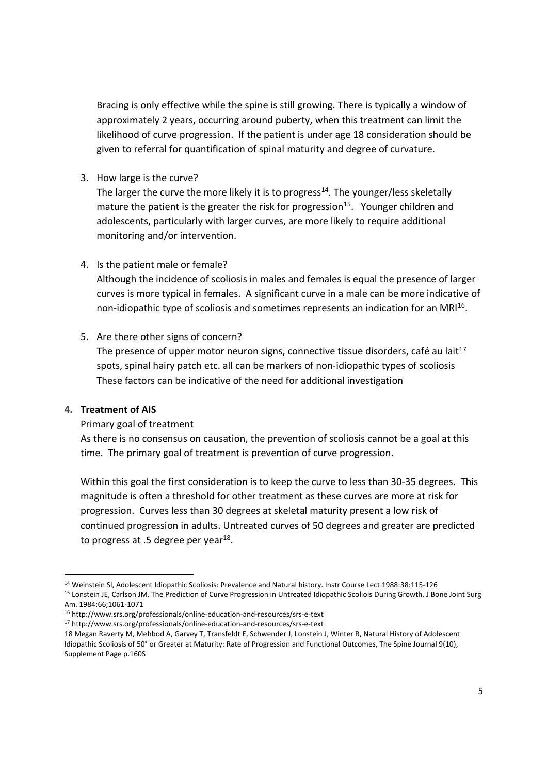Bracing is only effective while the spine is still growing. There is typically a window of approximately 2 years, occurring around puberty, when this treatment can limit the likelihood of curve progression. If the patient is under age 18 consideration should be given to referral for quantification of spinal maturity and degree of curvature.

3. How large is the curve?

The larger the curve the more likely it is to progress<sup>14</sup>. The younger/less skeletally mature the patient is the greater the risk for progression<sup>15</sup>. Younger children and adolescents, particularly with larger curves, are more likely to require additional monitoring and/or intervention.

4. Is the patient male or female?

Although the incidence of scoliosis in males and females is equal the presence of larger curves is more typical in females. A significant curve in a male can be more indicative of non-idiopathic type of scoliosis and sometimes represents an indication for an MRI<sup>16</sup>.

# 5. Are there other signs of concern?

The presence of upper motor neuron signs, connective tissue disorders, café au lait<sup>17</sup> spots, spinal hairy patch etc. all can be markers of non-idiopathic types of scoliosis These factors can be indicative of the need for additional investigation

# **4. Treatment of AIS**

# Primary goal of treatment

As there is no consensus on causation, the prevention of scoliosis cannot be a goal at this time. The primary goal of treatment is prevention of curve progression.

Within this goal the first consideration is to keep the curve to less than 30-35 degrees. This magnitude is often a threshold for other treatment as these curves are more at risk for progression. Curves less than 30 degrees at skeletal maturity present a low risk of continued progression in adults. Untreated curves of 50 degrees and greater are predicted to progress at .5 degree per year $^{18}$ .

<sup>17</sup> http://www.srs.org/professionals/online-education-and-resources/srs-e-text

<sup>14</sup> Weinstein Sl, Adolescent Idiopathic Scoliosis: Prevalence and Natural history. Instr Course Lect 1988:38:115-126

<sup>&</sup>lt;sup>15</sup> Lonstein JE, Carlson JM. The Prediction of Curve Progression in Untreated Idiopathic Scoliois During Growth. J Bone Joint Surg Am. 1984:66;1061-1071

<sup>16</sup> http://www.srs.org/professionals/online-education-and-resources/srs-e-text

<sup>18</sup> Megan Raverty M, Mehbod A, Garvey T, Transfeldt E, Schwender J, Lonstein J, Winter R, Natural History of Adolescent Idiopathic Scoliosis of 50° or Greater at Maturity: Rate of Progression and Functional Outcomes, The Spine Journal 9(10), Supplement Page p.160S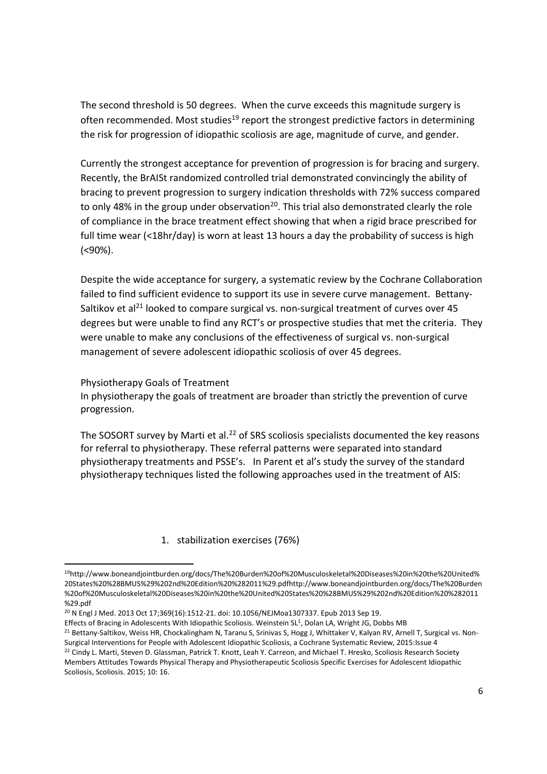The second threshold is 50 degrees. When the curve exceeds this magnitude surgery is often recommended. Most studies<sup>19</sup> report the strongest predictive factors in determining the risk for progression of idiopathic scoliosis are age, magnitude of curve, and gender.

Currently the strongest acceptance for prevention of progression is for bracing and surgery. Recently, the BrAISt randomized controlled trial demonstrated convincingly the ability of bracing to prevent progression to surgery indication thresholds with 72% success compared to only 48% in the group under observation<sup>20</sup>. This trial also demonstrated clearly the role of compliance in the brace treatment effect showing that when a rigid brace prescribed for full time wear (<18hr/day) is worn at least 13 hours a day the probability of success is high (<90%).

Despite the wide acceptance for surgery, a systematic review by the Cochrane Collaboration failed to find sufficient evidence to support its use in severe curve management. Bettany-Saltikov et al<sup>21</sup> looked to compare surgical vs. non-surgical treatment of curves over 45 degrees but were unable to find any RCT's or prospective studies that met the criteria. They were unable to make any conclusions of the effectiveness of surgical vs. non-surgical management of severe adolescent idiopathic scoliosis of over 45 degrees.

Physiotherapy Goals of Treatment

In physiotherapy the goals of treatment are broader than strictly the prevention of curve progression.

The SOSORT survey by Marti et al.<sup>22</sup> of SRS scoliosis specialists documented the key reasons for referral to physiotherapy. These referral patterns were separated into standard physiotherapy treatments and PSSE's. In Parent et al's study the survey of the standard physiotherapy techniques listed the following approaches used in the treatment of AIS:

1. stabilization exercises (76%)

Effects of Bracing in Adolescents With Idiopathic Scoliosis. Weinstein SL<sup>1</sup>, Dolan LA, Wright JG, Dobbs MB

<sup>21</sup> Bettany-Saltikov, Weiss HR, Chockalingham N, Taranu S, Srinivas S, Hogg J, Whittaker V, Kalyan RV, Arnell T, Surgical vs. Non-Surgical Interventions for People with Adolescent Idiopathic Scoliosis, a Cochrane Systematic Review, 2015:Issue 4

<sup>22</sup> Cindy L. Marti, Steven D. Glassman, Patrick T. Knott, Leah Y. Carreon, and Michael T. Hresko, Scoliosis Research Society Members Attitudes Towards Physical Therapy and Physiotherapeutic Scoliosis Specific Exercises for Adolescent Idiopathic Scoliosis, Scoliosis. 2015; 10: 16.

<sup>19</sup>http://www.boneandjointburden.org/docs/The%20Burden%20of%20Musculoskeletal%20Diseases%20in%20the%20United% 20States%20%28BMUS%29%202nd%20Edition%20%282011%29.pdfhttp://www.boneandjointburden.org/docs/The%20Burden %20of%20Musculoskeletal%20Diseases%20in%20the%20United%20States%20%28BMUS%29%202nd%20Edition%20%282011 %29.pdf

<sup>20</sup> N Engl J Med. 2013 Oct 17;369(16):1512-21. doi: 10.1056/NEJMoa1307337. Epub 2013 Sep 19.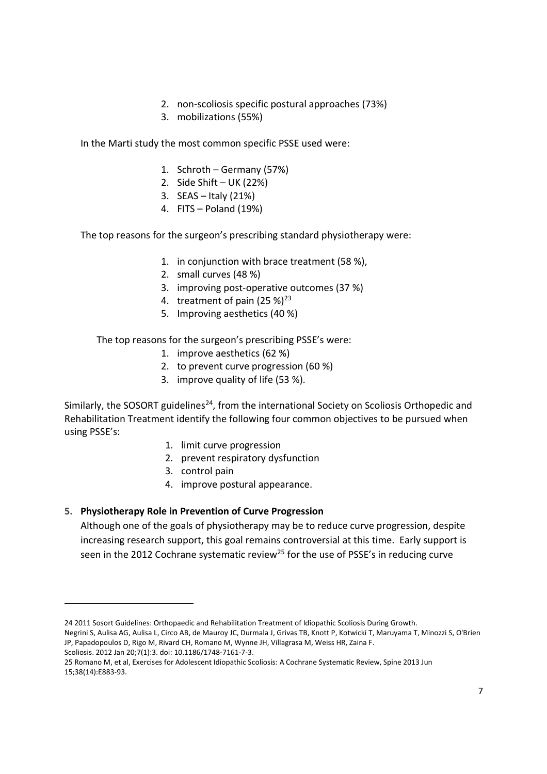- 2. non-scoliosis specific postural approaches (73%)
- 3. mobilizations (55%)

In the Marti study the most common specific PSSE used were:

- 1. Schroth Germany (57%)
- 2. Side Shift UK (22%)
- 3. SEAS Italy (21%)
- 4. FITS Poland (19%)

The top reasons for the surgeon's prescribing standard physiotherapy were:

- 1. in conjunction with brace treatment (58 %),
- 2. small curves (48 %)
- 3. improving post-operative outcomes (37 %)
- 4. treatment of pain  $(25%)^{23}$
- 5. Improving aesthetics (40 %)

# The top reasons for the surgeon's prescribing PSSE's were:

- 1. improve aesthetics (62 %)
- 2. to prevent curve progression (60 %)
- 3. improve quality of life (53 %).

Similarly, the SOSORT guidelines<sup>24</sup>, from the international Society on Scoliosis Orthopedic and Rehabilitation Treatment identify the following four common objectives to be pursued when using PSSE's:

- 1. limit curve progression
- 2. prevent respiratory dysfunction
- 3. control pain
- 4. improve postural appearance.

# **5. Physiotherapy Role in Prevention of Curve Progression**

Although one of the goals of physiotherapy may be to reduce curve progression, despite increasing research support, this goal remains controversial at this time. Early support is seen in the 2012 Cochrane systematic review<sup>25</sup> for the use of PSSE's in reducing curve

Scoliosis. 2012 Jan 20;7(1):3. doi: 10.1186/1748-7161-7-3.

<sup>24 2011</sup> Sosort Guidelines: Orthopaedic and Rehabilitation Treatment of Idiopathic Scoliosis During Growth.

Negrini S, Aulisa AG, Aulisa L, Circo AB, de Mauroy JC, Durmala J, Grivas TB, Knott P, Kotwicki T, Maruyama T, Minozzi S, O'Brien JP, Papadopoulos D, Rigo M, Rivard CH, Romano M, Wynne JH, Villagrasa M, Weiss HR, Zaina F.

<sup>25</sup> Romano M, et al, Exercises for Adolescent Idiopathic Scoliosis: A Cochrane Systematic Review, Spine 2013 Jun 15;38(14):E883-93.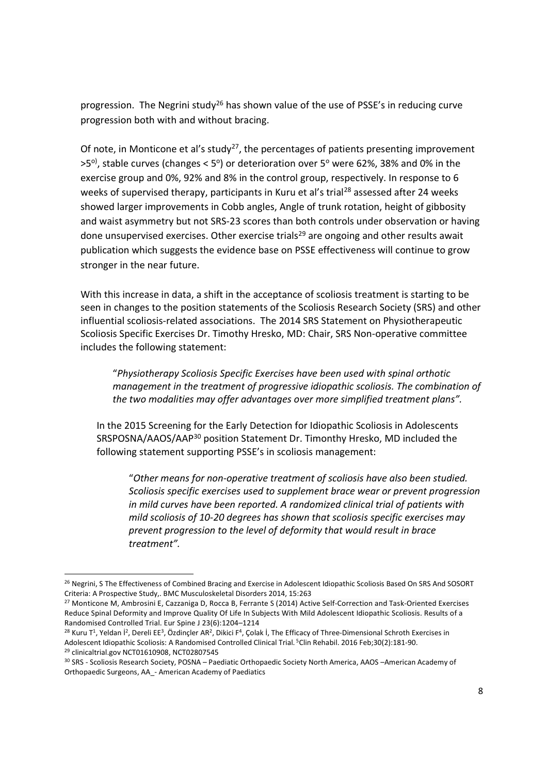progression. The Negrini study<sup>26</sup> has shown value of the use of PSSE's in reducing curve progression both with and without bracing.

Of note, in Monticone et al's study<sup>27</sup>, the percentages of patients presenting improvement >5<sup>o)</sup>, stable curves (changes < 5°) or deterioration over 5° were 62%, 38% and 0% in the exercise group and 0%, 92% and 8% in the control group, respectively. In response to 6 weeks of supervised therapy, participants in Kuru et al's trial<sup>28</sup> assessed after 24 weeks showed larger improvements in Cobb angles, Angle of trunk rotation, height of gibbosity and waist asymmetry but not SRS-23 scores than both controls under observation or having done unsupervised exercises. Other exercise trials<sup>29</sup> are ongoing and other results await publication which suggests the evidence base on PSSE effectiveness will continue to grow stronger in the near future.

With this increase in data, a shift in the acceptance of scoliosis treatment is starting to be seen in changes to the position statements of the Scoliosis Research Society (SRS) and other influential scoliosis-related associations. The 2014 SRS Statement on Physiotherapeutic Scoliosis Specific Exercises Dr. Timothy Hresko, MD: Chair, SRS Non-operative committee includes the following statement:

"*Physiotherapy Scoliosis Specific Exercises have been used with spinal orthotic management in the treatment of progressive idiopathic scoliosis. The combination of the two modalities may offer advantages over more simplified treatment plans".*

In the 2015 Screening for the Early Detection for Idiopathic Scoliosis in Adolescents SRSPOSNA/AAOS/AAP<sup>30</sup> position Statement Dr. Timonthy Hresko, MD included the following statement supporting PSSE's in scoliosis management:

"*Other means for non-operative treatment of scoliosis have also been studied. Scoliosis specific exercises used to supplement brace wear or prevent progression in mild curves have been reported. A randomized clinical trial of patients with mild scoliosis of 10-20 degrees has shown that scoliosis specific exercises may prevent progression to the level of deformity that would result in brace treatment".*

<sup>&</sup>lt;sup>26</sup> Negrini, S The Effectiveness of Combined Bracing and Exercise in Adolescent Idiopathic Scoliosis Based On SRS And SOSORT Criteria: A Prospective Study,. BMC Musculoskeletal Disorders 2014, 15:263

<sup>&</sup>lt;sup>27</sup> Monticone M, Ambrosini E, Cazzaniga D, Rocca B, Ferrante S (2014) Active Self-Correction and Task-Oriented Exercises Reduce Spinal Deformity and Improve Quality Of Life In Subjects With Mild Adolescent Idiopathic Scoliosis. Results of a Randomised Controlled Trial. Eur Spine J 23(6):1204–1214

 $^{28}$  Kuru T<sup>1</sup>, Yeldan İ<sup>2</sup>, Dereli EE<sup>3</sup>, Özdinçler AR<sup>2</sup>, Dikici F<sup>4</sup>, Çolak İ, The Efficacy of Three-Dimensional Schroth Exercises in Adolescent Idiopathic Scoliosis: A Randomised Controlled Clinical Trial. <sup>5</sup>Clin Rehabil. 2016 Feb;30(2):181-90. <sup>29</sup> clinicaltrial.gov NCT01610908, NCT02807545

<sup>30</sup> SRS - Scoliosis Research Society, POSNA – Paediatic Orthopaedic Society North America, AAOS –American Academy of

Orthopaedic Surgeons, AA\_- American Academy of Paediatics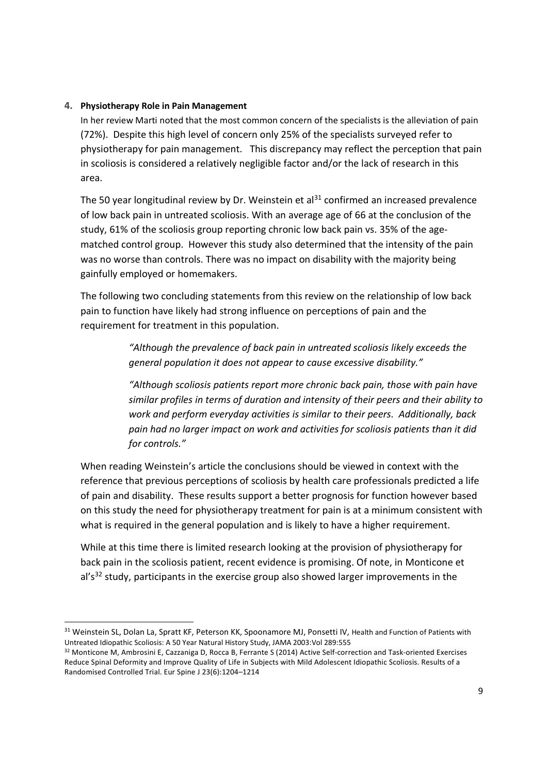### **4. Physiotherapy Role in Pain Management**

In her review Marti noted that the most common concern of the specialists is the alleviation of pain (72%). Despite this high level of concern only 25% of the specialists surveyed refer to physiotherapy for pain management. This discrepancy may reflect the perception that pain in scoliosis is considered a relatively negligible factor and/or the lack of research in this area.

The 50 year longitudinal review by Dr. Weinstein et al<sup>31</sup> confirmed an increased prevalence of low back pain in untreated scoliosis. With an average age of 66 at the conclusion of the study, 61% of the scoliosis group reporting chronic low back pain vs. 35% of the agematched control group. However this study also determined that the intensity of the pain was no worse than controls. There was no impact on disability with the majority being gainfully employed or homemakers.

The following two concluding statements from this review on the relationship of low back pain to function have likely had strong influence on perceptions of pain and the requirement for treatment in this population.

> *"Although the prevalence of back pain in untreated scoliosis likely exceeds the general population it does not appear to cause excessive disability."*

*"Although scoliosis patients report more chronic back pain, those with pain have similar profiles in terms of duration and intensity of their peers and their ability to work and perform everyday activities is similar to their peers. Additionally, back pain had no larger impact on work and activities for scoliosis patients than it did for controls."*

When reading Weinstein's article the conclusions should be viewed in context with the reference that previous perceptions of scoliosis by health care professionals predicted a life of pain and disability. These results support a better prognosis for function however based on this study the need for physiotherapy treatment for pain is at a minimum consistent with what is required in the general population and is likely to have a higher requirement.

While at this time there is limited research looking at the provision of physiotherapy for back pain in the scoliosis patient, recent evidence is promising. Of note, in Monticone et  $a<sup>1</sup>$ 's<sup>32</sup> study, participants in the exercise group also showed larger improvements in the

<sup>&</sup>lt;sup>31</sup> Weinstein SL, Dolan La, Spratt KF, Peterson KK, Spoonamore MJ, Ponsetti IV, Health and Function of Patients with Untreated Idiopathic Scoliosis: A 50 Year Natural History Study, JAMA 2003:Vol 289:555

<sup>32</sup> Monticone M, Ambrosini E, Cazzaniga D, Rocca B, Ferrante S (2014) Active Self-correction and Task-oriented Exercises Reduce Spinal Deformity and Improve Quality of Life in Subjects with Mild Adolescent Idiopathic Scoliosis. Results of a Randomised Controlled Trial. Eur Spine J 23(6):1204–1214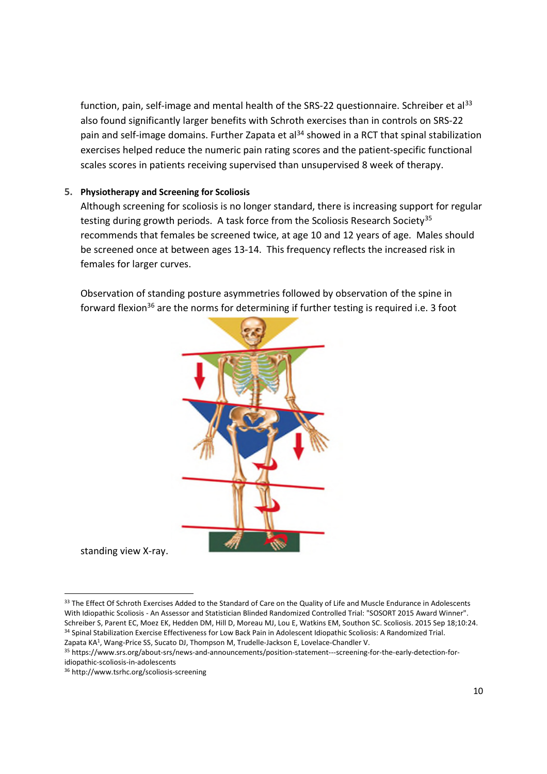function, pain, self-image and mental health of the SRS-22 questionnaire. Schreiber et al<sup>33</sup> also found significantly larger benefits with Schroth exercises than in controls on SRS-22 pain and self-image domains. Further Zapata et al<sup>34</sup> showed in a RCT that spinal stabilization exercises helped reduce the numeric pain rating scores and the patient-specific functional scales scores in patients receiving supervised than unsupervised 8 week of therapy.

### **5. Physiotherapy and Screening for Scoliosis**

Although screening for scoliosis is no longer standard, there is increasing support for regular testing during growth periods. A task force from the Scoliosis Research Society<sup>35</sup> recommends that females be screened twice, at age 10 and 12 years of age. Males should be screened once at between ages 13-14. This frequency reflects the increased risk in females for larger curves.

Observation of standing posture asymmetries followed by observation of the spine in forward flexion<sup>36</sup> are the norms for determining if further testing is required i.e. 3 foot



standing view X-ray.

<sup>33</sup> The Effect Of Schroth Exercises Added to the Standard of Care on the Quality of Life and Muscle Endurance in Adolescents With Idiopathic Scoliosis - An Assessor and Statistician Blinded Randomized Controlled Trial: "SOSORT 2015 Award Winner". Schreiber S, Parent EC, Moez EK, Hedden DM, Hill D, Moreau MJ, Lou E, Watkins EM, Southon SC. Scoliosis. 2015 Sep 18;10:24. <sup>34</sup> Spinal Stabilization Exercise Effectiveness for Low Back Pain in Adolescent Idiopathic Scoliosis: A Randomized Trial. Zapata KA<sup>1</sup> , Wang-Price SS, Sucato DJ, Thompson M, Trudelle-Jackson E, Lovelace-Chandler V.

<sup>35</sup> https://www.srs.org/about-srs/news-and-announcements/position-statement---screening-for-the-early-detection-for-

idiopathic-scoliosis-in-adolescents

<sup>36</sup> http://www.tsrhc.org/scoliosis-screening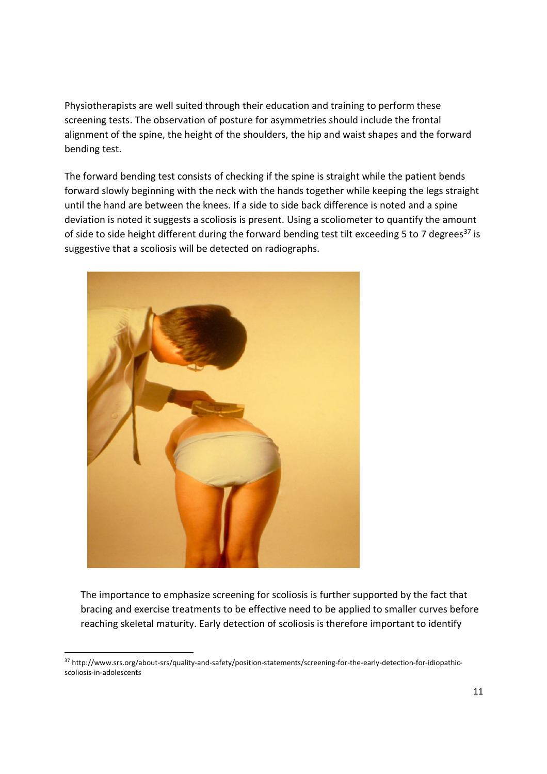Physiotherapists are well suited through their education and training to perform these screening tests. The observation of posture for asymmetries should include the frontal alignment of the spine, the height of the shoulders, the hip and waist shapes and the forward bending test.

The forward bending test consists of checking if the spine is straight while the patient bends forward slowly beginning with the neck with the hands together while keeping the legs straight until the hand are between the knees. If a side to side back difference is noted and a spine deviation is noted it suggests a scoliosis is present. Using a scoliometer to quantify the amount of side to side height different during the forward bending test tilt exceeding 5 to 7 degrees<sup>37</sup> is suggestive that a scoliosis will be detected on radiographs.



The importance to emphasize screening for scoliosis is further supported by the fact that bracing and exercise treatments to be effective need to be applied to smaller curves before reaching skeletal maturity. Early detection of scoliosis is therefore important to identify

<sup>37</sup> http://www.srs.org/about-srs/quality-and-safety/position-statements/screening-for-the-early-detection-for-idiopathicscoliosis-in-adolescents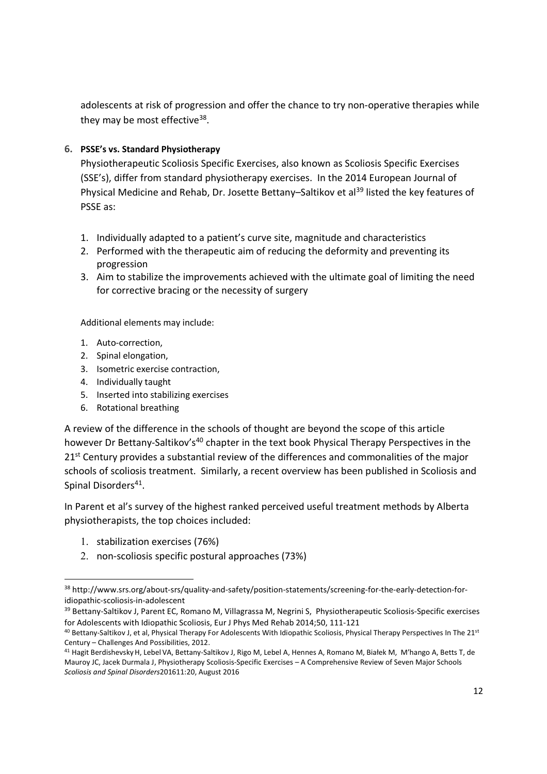adolescents at risk of progression and offer the chance to try non-operative therapies while they may be most effective<sup>38</sup>.

# **6. PSSE's vs. Standard Physiotherapy**

Physiotherapeutic Scoliosis Specific Exercises, also known as Scoliosis Specific Exercises (SSE's), differ from standard physiotherapy exercises. In the 2014 European Journal of Physical Medicine and Rehab, Dr. Josette Bettany–Saltikov et al<sup>39</sup> listed the key features of PSSE as:

- 1. Individually adapted to a patient's curve site, magnitude and characteristics
- 2. Performed with the therapeutic aim of reducing the deformity and preventing its progression
- 3. Aim to stabilize the improvements achieved with the ultimate goal of limiting the need for corrective bracing or the necessity of surgery

Additional elements may include:

- 1. Auto-correction,
- 2. Spinal elongation,
- 3. Isometric exercise contraction,
- 4. Individually taught
- 5. Inserted into stabilizing exercises
- 6. Rotational breathing

A review of the difference in the schools of thought are beyond the scope of this article however Dr Bettany-Saltikov's<sup>40</sup> chapter in the text book Physical Therapy Perspectives in the 21<sup>st</sup> Century provides a substantial review of the differences and commonalities of the major schools of scoliosis treatment. Similarly, a recent overview has been published in Scoliosis and Spinal Disorders<sup>41</sup>.

In Parent et al's survey of the highest ranked perceived useful treatment methods by Alberta physiotherapists, the top choices included:

- 1. stabilization exercises (76%)
- 2. non-scoliosis specific postural approaches (73%)

<sup>38</sup> http://www.srs.org/about-srs/quality-and-safety/position-statements/screening-for-the-early-detection-foridiopathic-scoliosis-in-adolescent

<sup>39</sup> Bettany-Saltikov J, Parent EC, Romano M, Villagrassa M, Negrini S, Physiotherapeutic Scoliosis-Specific exercises for Adolescents with Idiopathic Scoliosis, Eur J Phys Med Rehab 2014;50, 111-121

 $40$  Bettany-Saltikov J, et al, Physical Therapy For Adolescents With Idiopathic Scoliosis, Physical Therapy Perspectives In The  $21<sup>st</sup>$ Century – Challenges And Possibilities, 2012.

<sup>41</sup> Hagit Berdishevsky H, Lebel VA, Bettany-Saltikov J, Rigo M, Lebel A, Hennes A, Romano M, Białek M, M'hango A, Betts T, de Mauroy JC, Jacek Durmala J, Physiotherapy Scoliosis-Specific Exercises – A Comprehensive Review of Seven Major Schools *Scoliosis and Spinal Disorders*201611:20, August 2016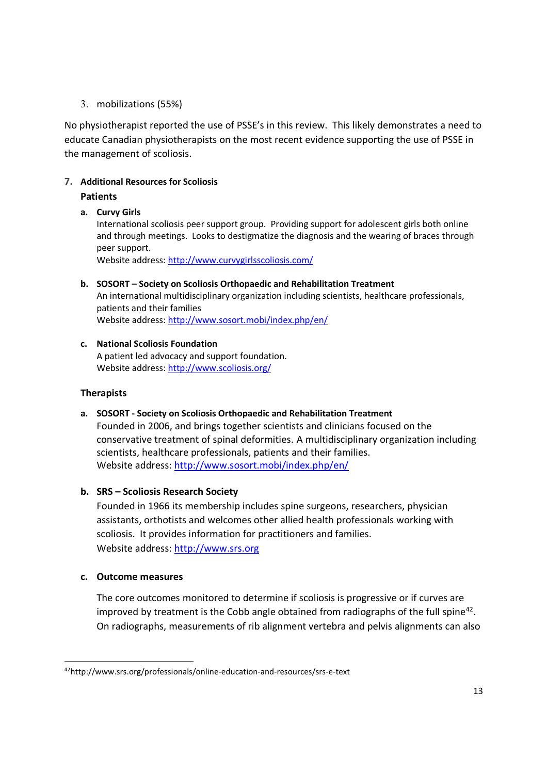# 3. mobilizations (55%)

No physiotherapist reported the use of PSSE's in this review. This likely demonstrates a need to educate Canadian physiotherapists on the most recent evidence supporting the use of PSSE in the management of scoliosis.

# **7. Additional Resources for Scoliosis**

# **Patients**

# **a. Curvy Girls**

International scoliosis peer support group. Providing support for adolescent girls both online and through meetings. Looks to destigmatize the diagnosis and the wearing of braces through peer support.

Website address: http://www.curvygirlsscoliosis.com/

**b. SOSORT – Society on Scoliosis Orthopaedic and Rehabilitation Treatment** An international multidisciplinary organization including scientists, healthcare professionals, patients and their families Website address: http://www.sosort.mobi/index.php/en/

#### **c. National Scoliosis Foundation** A patient led advocacy and support foundation. Website address: http://www.scoliosis.org/

# **Therapists**

**a. SOSORT - Society on Scoliosis Orthopaedic and Rehabilitation Treatment**

Founded in 2006, and brings together scientists and clinicians focused on the conservative treatment of spinal deformities. A multidisciplinary organization including scientists, healthcare professionals, patients and their families. Website address: http://www.sosort.mobi/index.php/en/

# **b. SRS – Scoliosis Research Society**

Founded in 1966 its membership includes spine surgeons, researchers, physician assistants, orthotists and welcomes other allied health professionals working with scoliosis. It provides information for practitioners and families. Website address: http://www.srs.org

# **c. Outcome measures**

The core outcomes monitored to determine if scoliosis is progressive or if curves are improved by treatment is the Cobb angle obtained from radiographs of the full spine<sup>42</sup>. On radiographs, measurements of rib alignment vertebra and pelvis alignments can also

<sup>42</sup>http://www.srs.org/professionals/online-education-and-resources/srs-e-text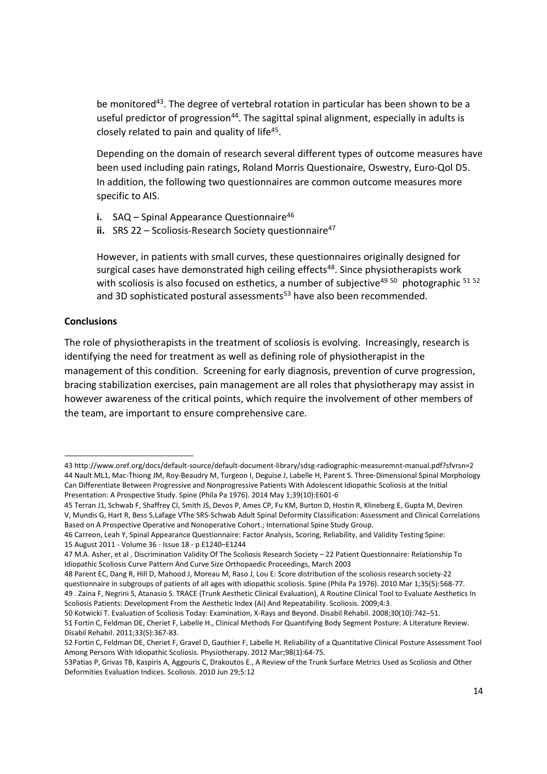be monitored<sup>43</sup>. The degree of vertebral rotation in particular has been shown to be a useful predictor of progression<sup>44</sup>. The sagittal spinal alignment, especially in adults is closely related to pain and quality of life $45$ .

Depending on the domain of research several different types of outcome measures have been used including pain ratings, Roland Morris Questionaire, Oswestry, Euro-Qol D5. In addition, the following two questionnaires are common outcome measures more specific to AIS.

- **i.** SAQ Spinal Appearance Questionnaire<sup>46</sup>
- **ii.** SRS 22 Scoliosis-Research Society questionnaire<sup>47</sup>

However, in patients with small curves, these questionnaires originally designed for surgical cases have demonstrated high ceiling effects<sup>48</sup>. Since physiotherapists work with scoliosis is also focused on esthetics, a number of subjective<sup>49 50</sup> photographic  $51$  52 and 3D sophisticated postural assessments<sup>53</sup> have also been recommended.

# **Conclusions**

The role of physiotherapists in the treatment of scoliosis is evolving. Increasingly, research is identifying the need for treatment as well as defining role of physiotherapist in the management of this condition. Screening for early diagnosis, prevention of curve progression, bracing stabilization exercises, pain management are all roles that physiotherapy may assist in however awareness of the critical points, which require the involvement of other members of the team, are important to ensure comprehensive care.

<sup>43</sup> http://www.oref.org/docs/default-source/default-document-library/sdsg-radiographic-measuremnt-manual.pdf?sfvrsn=2 44 Nault ML1, Mac-Thiong JM, Roy-Beaudry M, Turgeon I, Deguise J, Labelle H, Parent S. Three-Dimensional Spinal Morphology Can Differentiate Between Progressive and Nonprogressive Patients With Adolescent Idiopathic Scoliosis at the Initial Presentation: A Prospective Study. Spine (Phila Pa 1976). 2014 May 1;39(10):E601-6

<sup>45</sup> Terran J1, Schwab F, Shaffrey CI, Smith JS, Devos P, Ames CP, Fu KM, Burton D, Hostin R, Klineberg E, Gupta M, Deviren V, Mundis G, Hart R, Bess S,Lafage VThe SRS-Schwab Adult Spinal Deformity Classification: Assessment and Clinical Correlations Based on A Prospective Operative and Nonoperative Cohort.; International Spine Study Group.

<sup>46</sup> Carreon, Leah Y, Spinal Appearance Questionnaire: Factor Analysis, Scoring, Reliability, and Validity Testing Spine: 15 August 2011 - Volume 36 - Issue 18 - p E1240–E1244

<sup>47</sup> M.A. Asher, et al , Discrimination Validity Of The Scoliosis Research Society – 22 Patient Questionnaire: Relationship To Idiopathic Scoliosis Curve Pattern And Curve Size Orthopaedic Proceedings, March 2003

<sup>48</sup> Parent EC, Dang R, Hill D, Mahood J, Moreau M, Raso J, Lou E: Score distribution of the scoliosis research society-22 questionnaire in subgroups of patients of all ages with idiopathic scoliosis. Spine (Phila Pa 1976). 2010 Mar 1;35(5):568-77. 49 . Zaina F, Negrini S, Atanasio S. TRACE (Trunk Aesthetic Clinical Evaluation), A Routine Clinical Tool to Evaluate Aesthetics In Scoliosis Patients: Development From the Aesthetic Index (Ai) And Repeatability. Scoliosis. 2009;4:3.

<sup>50</sup> Kotwicki T. Evaluation of Scoliosis Today: Examination, X-Rays and Beyond. Disabil Rehabil. 2008;30(10):742–51. 51 Fortin C, Feldman DE, Cheriet F, Labelle H., Clinical Methods For Quantifying Body Segment Posture: A Literature Review. Disabil Rehabil. 2011;33(5):367-83.

<sup>52</sup> Fortin C, Feldman DE, Cheriet F, Gravel D, Gauthier F, Labelle H. Reliability of a Quantitative Clinical Posture Assessment Tool Among Persons With Idiopathic Scoliosis. Physiotherapy. 2012 Mar;98(1):64-75.

<sup>53</sup>Patias P, Grivas TB, Kaspiris A, Aggouris C, Drakoutos E., A Review of the Trunk Surface Metrics Used as Scoliosis and Other Deformities Evaluation Indices. Scoliosis. 2010 Jun 29;5:12